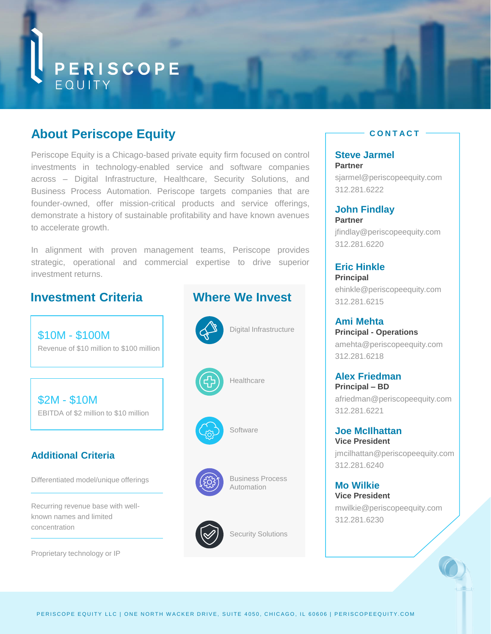

# **About Periscope Equity**

Periscope Equity is a Chicago-based private equity firm focused on control investments in technology-enabled service and software companies across – Digital Infrastructure, Healthcare, Security Solutions, and Business Process Automation. Periscope targets companies that are founder-owned, offer mission-critical products and service offerings, demonstrate a history of sustainable profitability and have known avenues to accelerate growth.

In alignment with proven management teams, Periscope provides strategic, operational and commercial expertise to drive superior investment returns.

## **Investment Criteria**

\$10M - \$100M Revenue of \$10 million to \$100 million

\$2M - \$10M EBITDA of \$2 million to \$10 million

### **Additional Criteria**

Differentiated model/unique offerings

Recurring revenue base with wellknown names and limited concentration

Proprietary technology or IP

### **Where We Invest**







**Software** 

**Healthcare** 



Business Process **Automation** 



Security Solutions

#### **C O N T A C T**

**Steve Jarmel Partner** sjarmel@periscopeequity.com 312.281.6222

**John Findlay Partner** jfindlay@periscopeequity.com 312.281.6220

#### **Eric Hinkle Principal**

ehinkle@periscopeequity.com 312.281.6215

**Ami Mehta Principal - Operations** amehta@periscopeequity.com 312.281.6218

**Alex Friedman Principal – BD** afriedman@periscopeequity.com 312.281.6221

**Joe McIlhattan Vice President** jmcilhattan@periscopeequity.com 312.281.6240

**Mo Wilkie Vice President** mwilkie@periscopeequity.com 312.281.6230

 $\overline{\phantom{a}}$ 

PERISCOPE EQUITY LLC | ONE NORTH WACKER DRIVE, SUITE 4050, CHICAGO, IL 60606 | PERISCOPEEQUITY.COM